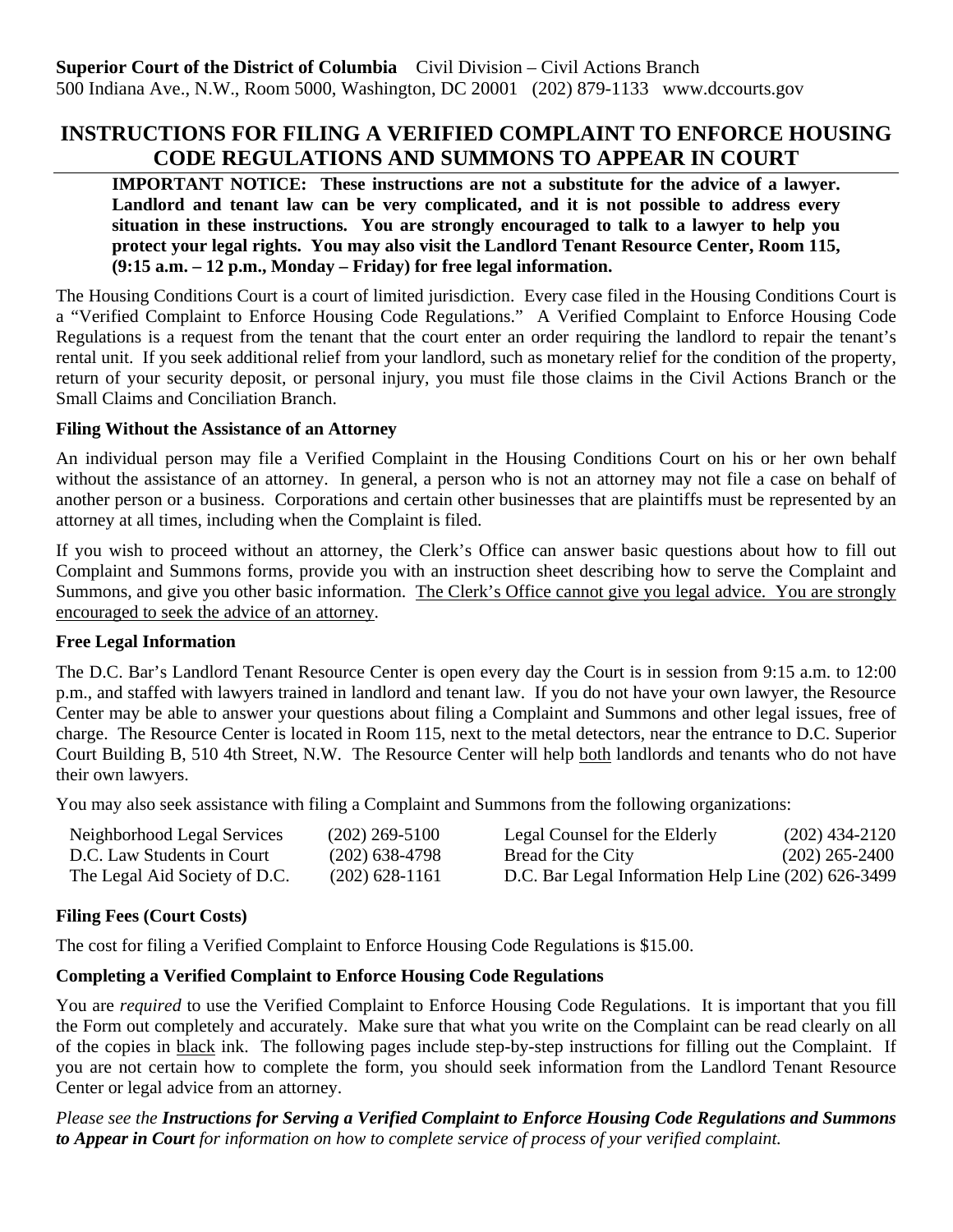# **INSTRUCTIONS FOR FILING A VERIFIED COMPLAINT TO ENFORCE HOUSING CODE REGULATIONS AND SUMMONS TO APPEAR IN COURT**

**IMPORTANT NOTICE:** These instructions are not a substitute for the advice of a lawyer. **Landlord and tenant law can be very complicated, and it is not possible to address every situation in these instructions. You are strongly encouraged to talk to a lawyer to help you protect your legal rights. You may also visit the Landlord Tenant Resource Center, Room 115, (9:15 a.m. – 12 p.m., Monday – Friday) for free legal information.**

The Housing Conditions Court is a court of limited jurisdiction. Every case filed in the Housing Conditions Court is a "Verified Complaint to Enforce Housing Code Regulations." A Verified Complaint to Enforce Housing Code Regulations is a request from the tenant that the court enter an order requiring the landlord to repair the tenant's rental unit. If you seek additional relief from your landlord, such as monetary relief for the condition of the property, return of your security deposit, or personal injury, you must file those claims in the Civil Actions Branch or the Small Claims and Conciliation Branch.

#### **Filing Without the Assistance of an Attorney**

An individual person may file a Verified Complaint in the Housing Conditions Court on his or her own behalf without the assistance of an attorney. In general, a person who is not an attorney may not file a case on behalf of another person or a business. Corporations and certain other businesses that are plaintiffs must be represented by an attorney at all times, including when the Complaint is filed.

If you wish to proceed without an attorney, the Clerk's Office can answer basic questions about how to fill out Complaint and Summons forms, provide you with an instruction sheet describing how to serve the Complaint and Summons, and give you other basic information. The Clerk's Office cannot give you legal advice. You are strongly encouraged to seek the advice of an attorney.

# **Free Legal Information**

The D.C. Bar's Landlord Tenant Resource Center is open every day the Court is in session from 9:15 a.m. to 12:00 p.m., and staffed with lawyers trained in landlord and tenant law. If you do not have your own lawyer, the Resource Center may be able to answer your questions about filing a Complaint and Summons and other legal issues, free of charge. The Resource Center is located in Room 115, next to the metal detectors, near the entrance to D.C. Superior Court Building B, 510 4th Street, N.W. The Resource Center will help both landlords and tenants who do not have their own lawyers.

You may also seek assistance with filing a Complaint and Summons from the following organizations:

| Neighborhood Legal Services   | $(202)$ 269-5100 | Legal Counsel for the Elderly                       | $(202)$ 434-2120 |
|-------------------------------|------------------|-----------------------------------------------------|------------------|
| D.C. Law Students in Court    | $(202)$ 638-4798 | Bread for the City                                  | $(202)$ 265-2400 |
| The Legal Aid Society of D.C. | $(202)$ 628-1161 | D.C. Bar Legal Information Help Line (202) 626-3499 |                  |

# **Filing Fees (Court Costs)**

The cost for filing a Verified Complaint to Enforce Housing Code Regulations is \$15.00.

# **Completing a Verified Complaint to Enforce Housing Code Regulations**

You are *required* to use the Verified Complaint to Enforce Housing Code Regulations. It is important that you fill the Form out completely and accurately. Make sure that what you write on the Complaint can be read clearly on all of the copies in black ink. The following pages include step-by-step instructions for filling out the Complaint. If you are not certain how to complete the form, you should seek information from the Landlord Tenant Resource Center or legal advice from an attorney.

*Please see the Instructions for Serving a Verified Complaint to Enforce Housing Code Regulations and Summons to Appear in Court for information on how to complete service of process of your verified complaint.*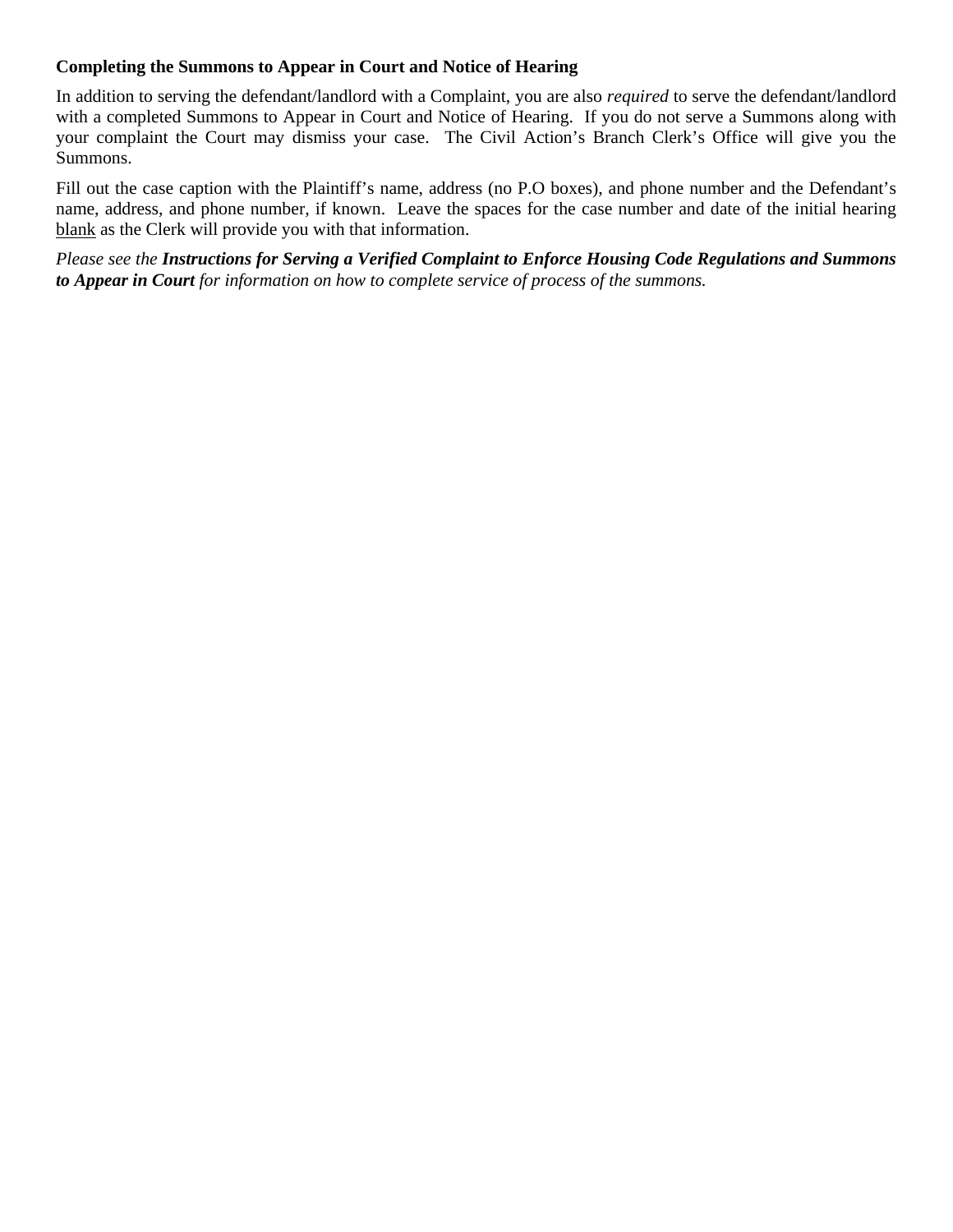#### **Completing the Summons to Appear in Court and Notice of Hearing**

In addition to serving the defendant/landlord with a Complaint, you are also *required* to serve the defendant/landlord with a completed Summons to Appear in Court and Notice of Hearing. If you do not serve a Summons along with your complaint the Court may dismiss your case. The Civil Action's Branch Clerk's Office will give you the Summons.

Fill out the case caption with the Plaintiff's name, address (no P.O boxes), and phone number and the Defendant's name, address, and phone number, if known. Leave the spaces for the case number and date of the initial hearing blank as the Clerk will provide you with that information.

*Please see the Instructions for Serving a Verified Complaint to Enforce Housing Code Regulations and Summons to Appear in Court for information on how to complete service of process of the summons.*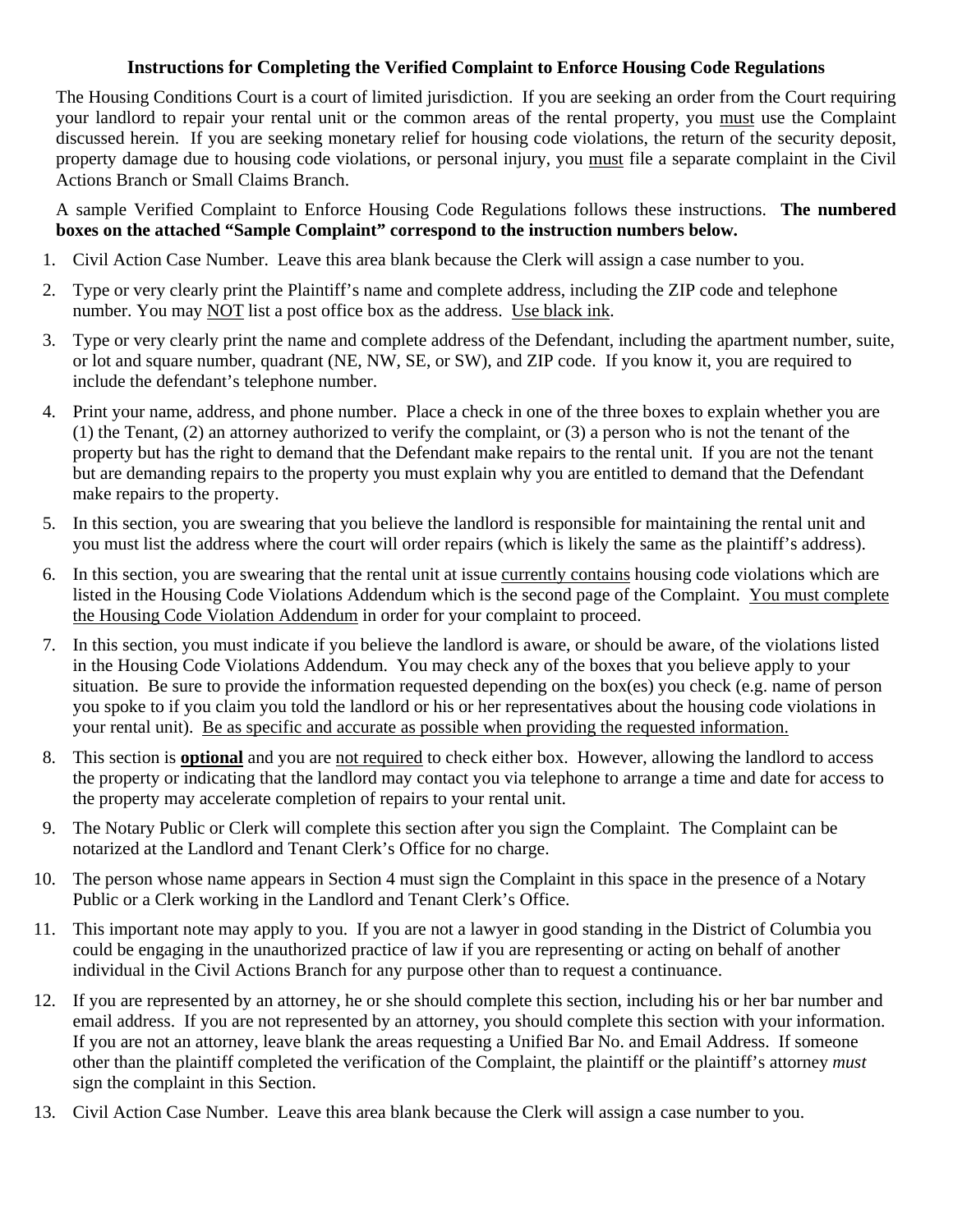#### **Instructions for Completing the Verified Complaint to Enforce Housing Code Regulations**

The Housing Conditions Court is a court of limited jurisdiction. If you are seeking an order from the Court requiring your landlord to repair your rental unit or the common areas of the rental property, you must use the Complaint discussed herein. If you are seeking monetary relief for housing code violations, the return of the security deposit, property damage due to housing code violations, or personal injury, you must file a separate complaint in the Civil Actions Branch or Small Claims Branch.

A sample Verified Complaint to Enforce Housing Code Regulations follows these instructions. **The numbered boxes on the attached "Sample Complaint" correspond to the instruction numbers below.**

- 1. Civil Action Case Number. Leave this area blank because the Clerk will assign a case number to you.
- 2. Type or very clearly print the Plaintiff's name and complete address, including the ZIP code and telephone number. You may NOT list a post office box as the address. Use black ink.
- 3. Type or very clearly print the name and complete address of the Defendant, including the apartment number, suite, or lot and square number, quadrant (NE, NW, SE, or SW), and ZIP code. If you know it, you are required to include the defendant's telephone number.
- 4. Print your name, address, and phone number. Place a check in one of the three boxes to explain whether you are (1) the Tenant, (2) an attorney authorized to verify the complaint, or (3) a person who is not the tenant of the property but has the right to demand that the Defendant make repairs to the rental unit. If you are not the tenant but are demanding repairs to the property you must explain why you are entitled to demand that the Defendant make repairs to the property.
- 5. In this section, you are swearing that you believe the landlord is responsible for maintaining the rental unit and you must list the address where the court will order repairs (which is likely the same as the plaintiff's address).
- 6. In this section, you are swearing that the rental unit at issue currently contains housing code violations which are listed in the Housing Code Violations Addendum which is the second page of the Complaint. You must complete the Housing Code Violation Addendum in order for your complaint to proceed.
- 7. In this section, you must indicate if you believe the landlord is aware, or should be aware, of the violations listed in the Housing Code Violations Addendum. You may check any of the boxes that you believe apply to your situation. Be sure to provide the information requested depending on the box(es) you check (e.g. name of person you spoke to if you claim you told the landlord or his or her representatives about the housing code violations in your rental unit). Be as specific and accurate as possible when providing the requested information.
- 8. This section is **optional** and you are not required to check either box. However, allowing the landlord to access the property or indicating that the landlord may contact you via telephone to arrange a time and date for access to the property may accelerate completion of repairs to your rental unit.
- 9. The Notary Public or Clerk will complete this section after you sign the Complaint. The Complaint can be notarized at the Landlord and Tenant Clerk's Office for no charge.
- 10. The person whose name appears in Section 4 must sign the Complaint in this space in the presence of a Notary Public or a Clerk working in the Landlord and Tenant Clerk's Office.
- 11. This important note may apply to you. If you are not a lawyer in good standing in the District of Columbia you could be engaging in the unauthorized practice of law if you are representing or acting on behalf of another individual in the Civil Actions Branch for any purpose other than to request a continuance.
- 12. If you are represented by an attorney, he or she should complete this section, including his or her bar number and email address. If you are not represented by an attorney, you should complete this section with your information. If you are not an attorney, leave blank the areas requesting a Unified Bar No. and Email Address. If someone other than the plaintiff completed the verification of the Complaint, the plaintiff or the plaintiff's attorney *must* sign the complaint in this Section.
- 13. Civil Action Case Number. Leave this area blank because the Clerk will assign a case number to you.